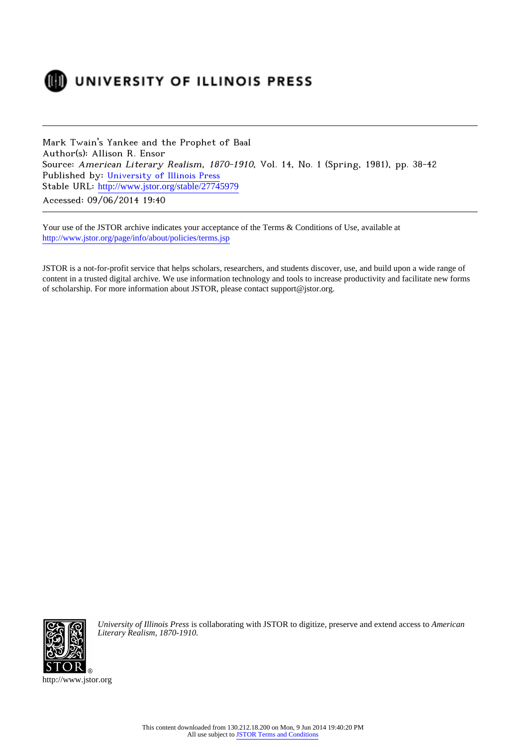

## DUNIVERSITY OF ILLINOIS PRESS

Mark Twain's Yankee and the Prophet of Baal Author(s): Allison R. Ensor Source: American Literary Realism, 1870-1910, Vol. 14, No. 1 (Spring, 1981), pp. 38-42 Published by: [University of Illinois Press](http://www.jstor.org/action/showPublisher?publisherCode=illinois) Stable URL: http://www.jstor.org/stable/27745979 Accessed: 09/06/2014 19:40

Your use of the JSTOR archive indicates your acceptance of the Terms & Conditions of Use, available at <http://www.jstor.org/page/info/about/policies/terms.jsp>

JSTOR is a not-for-profit service that helps scholars, researchers, and students discover, use, and build upon a wide range of content in a trusted digital archive. We use information technology and tools to increase productivity and facilitate new forms of scholarship. For more information about JSTOR, please contact support@jstor.org.



*University of Illinois Press* is collaborating with JSTOR to digitize, preserve and extend access to *American Literary Realism, 1870-1910.*

http://www.jstor.org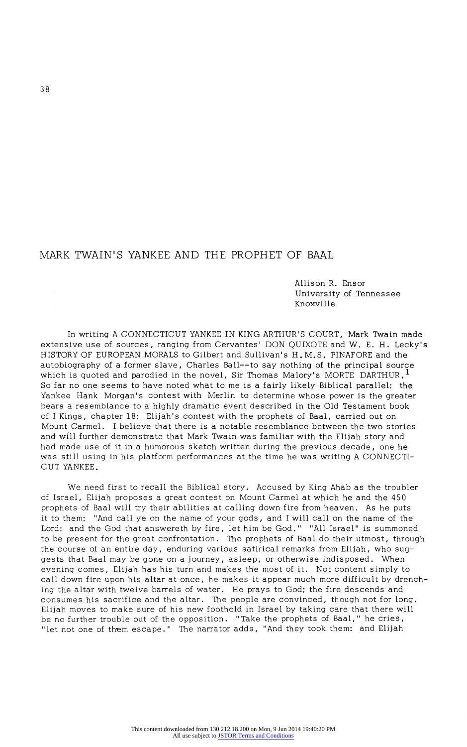## MARK TWAIN'S YANKEE AND THE PROPHET OF BAAL

Allison R. Ensor University of Tennessee Knoxville

In writing A CONNECTICUT YANKEE IN KING ARTHUR'S COURT, Mark Twain made extensive use of sources, ranging from Cervantes' DON QUIXOTE and W. E. H. Lecky's HISTORY OF EUROPEAN MORALS to Gilbert and Sullivan's H.M.S. PINAFORE and the autobiography of a former slave, Charles Ball--to say nothing of the principal source which is quoted and parodied in the novel, Sir Thomas Malory's MORTE DARTHUR,  $^{\mathrm{l}}$ So far no one seems to have noted what to me is a fairly likely Biblical parallel: the Yankee Hank Morgan's contest with Merlin to determine whose power is the greater bears a resemblance to a highly dramatic event described in the Old Testament book of I Kings, chapter 18: Elijah's contest with the prophets of Baal, carried out on Mount Carmel. I believe that there is a notable resemblance between the two stories and will further demonstrate that Mark Twain was familiar with the Elijah story and had made use of it in a humorous sketch written during the previous decade, one he was still using in his platform performances at the time he was writing A CONNECTI CUT YANKEE.

We need first to recall the Biblical story. Accused by King Ahab as the troubler of Israel, Elijah proposes a great contest on Mount Carmel at which he and the 450 prophets of Baal will try their abilities at calling down fire from heaven. As he puts it to them: "And call ye on the name of your gods, and I will call on the name of the Lord: and the God that answereth by fire, let him be God." "All Israel" is summoned to be present for the great confrontation. The prophets of Baal do their utmost, through the course of an entire day, enduring various satirical remarks from Elijah, who sug gests that Baal may be gone on a journey, asleep, or otherwise indisposed. When evening comes, Elijah has his turn and makes the most of it. Not content simply to call down fire upon his altar at once, he makes it appear much more difficult by drench ing the altar with twelve barrels of water. He prays to God; the fire descends and consumes his sacrifice and the altar. The people are convinced, though not for long. Elijah moves to make sure of his new foothold in Israel by taking care that there will be no further trouble out of the opposition. "Take the prophets of Baal," he cries, "let not one of them escape." The narrator adds, "And they took them: and Elijah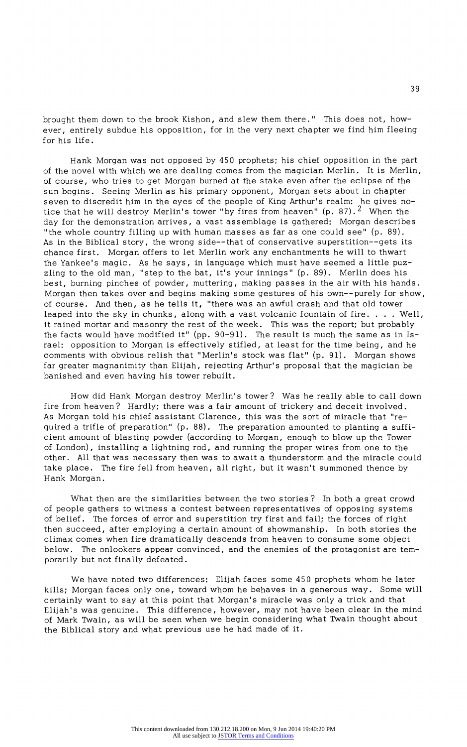brought them down to the brook Kishon, and slew them there." This does not, how ever, entirely subdue his opposition, for in the very next chapter we find him fleeing for his life.

Hank Morgan was not opposed by 450 prophets; his chief opposition in the part of the novel with which we are dealing comes from the magician Merlin. It is Merlin, of course, who tries to get Morgan burned at the stake even after the eclipse of the sun begins. Seeing Merlin as his primary opponent, Morgan sets about in chapter seven to discredit him in the eyes of the people of King Arthur's realm: he gives no tice that he will destroy Merlin's tower "by fires from heaven" (p. 87).  $2$  When the day for the demonstration arrives, a vast assemblage is gathered: Morgan describes "the whole country filling up with human masses as far as one could see" (p. 89). As in the Biblical story, the wrong side--that of conservative superstition--gets its chance first. Morgan offers to let Merlin work any enchantments he will to thwart the Yankee's magic. As he says, in language which must have seemed a little puz zling to the old man, "step to the bat, it's your innings" (p. 89). Merlin does his best, burning pinches of powder, muttering, making passes in the air with his hands. Morgan then takes over and begins making some gestures of his own--purely for show, of course. And then, as he tells it, "there was an awful crash and that old tower leaped into the sky in chunks, along with a vast volcanic fountain of fire. . . . Well, it rained mortar and masonry the rest of the week. This was the report; but probably the facts would have modified it" (pp. 90-91). The result is much the same as in Is rael: opposition to Morgan is effectively stifled, at least for the time being, and he comments with obvious relish that "Merlin's stock was flat" (p. 91). Morgan shows far greater magnanimity than Elijah, rejecting Arthur's proposal that the magician be banished and even having his tower rebuilt.

How did Hank Morgan destroy Merlin's tower? Was he really able to call down fire from heaven? Hardly; there was a fair amount of trickery and deceit involved. As Morgan told his chief assistant Clarence, this was the sort of miracle that "re quired a trifle of preparation" (p. 88). The preparation amounted to planting a suffi cient amount of blasting powder (according to Morgan, enough to blow up the Tower of London), installing a lightning rod, and running the proper wires from one to the other. All that was necessary then was to await a thunderstorm and the miracle could take place. The fire fell from heaven, all right, but it wasn't summoned thence by Hank Morgan.

What then are the similarities between the two stories? In both a great crowd of people gathers to witness a contest between representatives of opposing systems of belief. The forces of error and superstition try first and fail; the forces of right then succeed, after employing a certain amount of showmanship. In both stories the climax comes when fire dramatically descends from heaven to consume some object below. The onlookers appear convinced, and the enemies of the protagonist are tem porarily but not finally defeated.

We have noted two differences: Elijah faces some 45 0 prophets whom he later kills; Morgan faces only one, toward whom he behaves in a generous way. Some will certainly want to say at this point that Morgan's miracle was only a trick and that Elijah's was genuine. This difference, however, may not have been clear in the mind of Mark Twain, as will be seen when we begin considering what Twain thought about the Biblical story and what previous use he had made of it.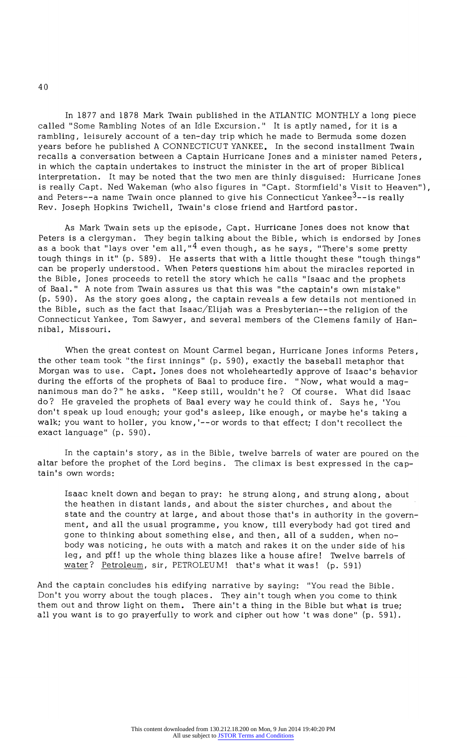In 1877 and 1878 Mark Twain published in the ATLANTIC MONTHLY a long piece called "Some Rambling Notes of an Idle Excursion." It is aptly named, for it is a rambling, leisurely account of a ten-day trip which he made to Bermuda some dozen years before he published A CONNECTICUT YANKEE. In the second installment Twain recalls a conversation between a Captain Hurricane Jones and a minister named Peters, in which the captain undertakes to instruct the minister in the art of proper Biblical interpretation. It may be noted that the two men are thinly disguised: Hurricane Jones is really Capt. Ned Wakeman (who also figures in "Capt. Stormfield's Visit to Heaven"), and Peters--a name Twain once planned to give his Connecticut Yankee<sup>3</sup>--is really Rev. Joseph Hopkins Twichell, Twain's close friend and Hartford pastor.

As Mark Twain sets up the episode, Capt. Hurricane Jones does not know that Peters is a clergyman. They begin talking about the Bible, which is endorsed by Jones as a book that "lays over 'em all," $^4$  even though, as he says, "There's some pretty<br>tough things in it" (p. 589). He asserts that with a little thought these "tough things" tough things in it (p. 589). He asserts that with a little thought these "tough things" can be properly understood. When Peters questions him about the miracles reported in the Bible, Jones proceeds to retell the story which he calls "Isaac and the prophets of Baal." A note from Twain assures us that this was "the captain's own mistake" (p. 590). As the story goes along, the captain reveals a few details not mentioned in the Bible, such as the fact that Isaac/Elijah was a Presbyterian--the religion of the Connecticut Yankee, Tom Sawyer, and several members of the Clemens family of Han nibal, Missouri.

When the great contest on Mount Carmel began, Hurricane Jones informs Peters, the other team took "the first innings" (p. 590), exactly the baseball metaphor that Morgan was to use. Capt. Jones does not wholeheartedly approve of Isaac's behavior during the efforts of the prophets of Baal to produce fire. "Now, what would a magnanimous man do?" he asks. "Keep still, wouldn't he? Of course. What did Isaac do? He graveled the prophets of Baal every way he could think of. Says he, 'You don't speak up loud enough; your god's asleep, like enough, or maybe he's taking a walk; you want to holler, you know, '--or words to that effect; I don't recollect the exact language" (p. 590).

In the captain's story, as in the Bible, twelve barrels of water are poured on the altar before the prophet of the Lord begins. The climax is best expressed in the cap tain's own words:

Isaac knelt down and began to pray: he strung along, and strung along, about the heathen in distant lands, and about the sister churches, and about the state and the country at large, and about those that's in authority in the govern ment, and all the usual programme, you know, till everybody had got tired and gone to thinking about something else, and then, all of a sudden, when no body was noticing, he outs with a match and rakes it on the under side of his leg, and pff! up the whole thing blazes like a house afire! Twelve barrels of water? Petroleum, sir, PETROLEUM! that's what it was! (p. 591)

And the captain concludes his edifying narrative by saying: "You read the Bible. Don't you worry about the tough places. They ain't tough when you come to think them out and throw light on them. There ain't a thing in the Bible but what is true; all you want is to go prayerfully to work and cipher out how 't was done" (p. 591).

40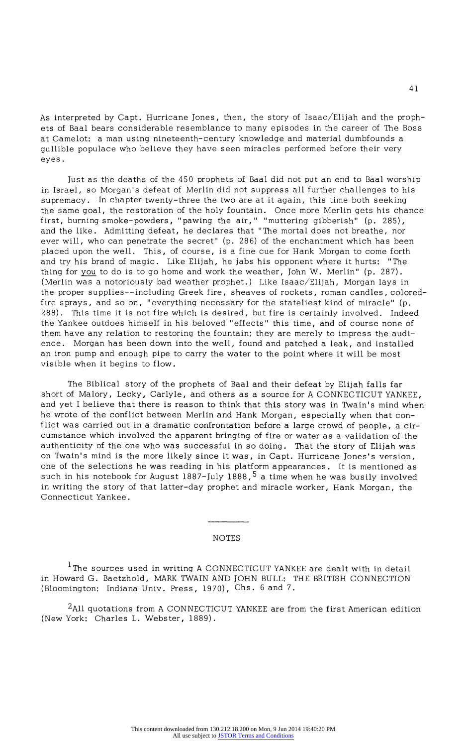As interpreted by Capt. Hurricane Jones, then, the story of Isaac/Elijah and the proph ets of Baal bears considerable resemblance to many episodes in the career of The Boss at Camelot: a man using nineteenth-century knowledge and material dumbfounds a gullible populace who believe they have seen miracles performed before their very eyes .

Just as the deaths of the 450 prophets of Baal did not put an end to Baal worship in Israel, so Morgan's defeat of Merlin did not suppress all further challenges to his supremacy. In chapter twenty-three the two are at it again, this time both seeking the same goal, the restoration of the holy fountain. Once more Merlin gets his chance first, burning smoke-powders, "pawing the air," "muttering gibberish" (p. 285), and the like. Admitting defeat, he declares that "The mortal does not breathe, nor ever will, who can penetrate the secret" (p. 286) of the enchantment which has been placed upon the well. This, of course, is a fine cue for Hank Morgan to come forth and try his brand of magic. Like Elijah, he jabs his opponent where it hurts: "The thing for you to do is to go home and work the weather, John W. Merlin" (p. 287). (Merlin was a notoriously bad weather prophet.) Like Isaac/Elijah, Morgan lays in the proper supplies--including Greek fire, sheaves of rockets, roman candles, coloredfire sprays, and so on, "everything necessary for the stateliest kind of miracle" (p. 288). This time it is not fire which is desired, but fire is certainly involved. Indeed the Yankee outdoes himself in his beloved "effects" this time, and of course none of them have any relation to restoring the fountain; they are merely to impress the audi ence. Morgan has been down into the well, found and patched a leak, and installed an iron pump and enough pipe to carry the water to the point where it will be most visible when it begins to flow.

The Biblical story of the prophets of Baal and their defeat by Elijah falls far short of Malory, Lecky, Carlyle, and others as a source for A CONNECTICUT YANKEE, and yet I believe that there is reason to think that this story was in Twain's mind when he wrote of the conflict between Merlin and Hank Morgan, especially when that con flict was carried out in a dramatic confrontation before a large crowd of people, a cir cumstance which involved the apparent bringing of fire or water as a validation of the authenticity of the one who was successful in so doing. That the story of Elijah was on Twain's mind is the more likely since it was, in Capt. Hurricane Jones's version, one of the selections he was reading in his platform appearances. It is mentioned as such in his notebook for August  $1887 - \text{July } 1888, 5$  a time when he was busily involved in writing the story of that latter-day prophet and miracle worker, Hank Morgan, the Connecticut Yankee.

## NOTES

 $^{\rm 1}$ The sources used in writing A CONNECTICUT YANKEE are dealt with in detail in Howard G. Baetzhold, MARK TWAIN AND JOHN BULL: THE BRITISH CONNECTION (Bloomington: Indiana Univ. Press, 1970), Chs. 6 and 7.

<sup>2</sup>All quotations from A CONNECTICUT YANKEE are from the first American edition (New York: Charles L. Webster, 1889).